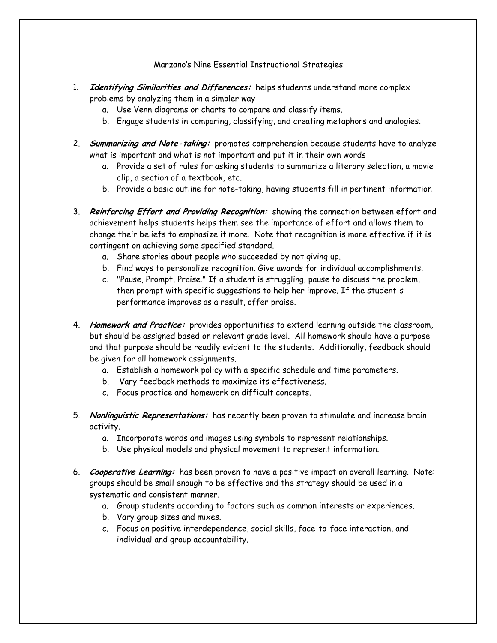## Marzano's Nine Essential Instructional Strategies

- 1. **Identifying Similarities and Differences:** helps students understand more complex problems by analyzing them in a simpler way
	- a. Use Venn diagrams or charts to compare and classify items.
	- b. Engage students in comparing, classifying, and creating metaphors and analogies.
- 2. **Summarizing and Note-taking:** promotes comprehension because students have to analyze what is important and what is not important and put it in their own words
	- a. Provide a set of rules for asking students to summarize a literary selection, a movie clip, a section of a textbook, etc.
	- b. Provide a basic outline for note-taking, having students fill in pertinent information
- 3. **Reinforcing Effort and Providing Recognition:** showing the connection between effort and achievement helps students helps them see the importance of effort and allows them to change their beliefs to emphasize it more. Note that recognition is more effective if it is contingent on achieving some specified standard.
	- a. Share stories about people who succeeded by not giving up.
	- b. Find ways to personalize recognition. Give awards for individual accomplishments.
	- c. "Pause, Prompt, Praise." If a student is struggling, pause to discuss the problem, then prompt with specific suggestions to help her improve. If the student's performance improves as a result, offer praise.
- 4. **Homework and Practice:** provides opportunities to extend learning outside the classroom, but should be assigned based on relevant grade level. All homework should have a purpose and that purpose should be readily evident to the students. Additionally, feedback should be given for all homework assignments.
	- a. Establish a homework policy with a specific schedule and time parameters.
	- b. Vary feedback methods to maximize its effectiveness.
	- c. Focus practice and homework on difficult concepts.
- 5. **Nonlinguistic Representations:** has recently been proven to stimulate and increase brain activity.
	- a. Incorporate words and images using symbols to represent relationships.
	- b. Use physical models and physical movement to represent information.
- 6. **Cooperative Learning:** has been proven to have a positive impact on overall learning. Note: groups should be small enough to be effective and the strategy should be used in a systematic and consistent manner.
	- a. Group students according to factors such as common interests or experiences.
	- b. Vary group sizes and mixes.
	- c. Focus on positive interdependence, social skills, face-to-face interaction, and individual and group accountability.